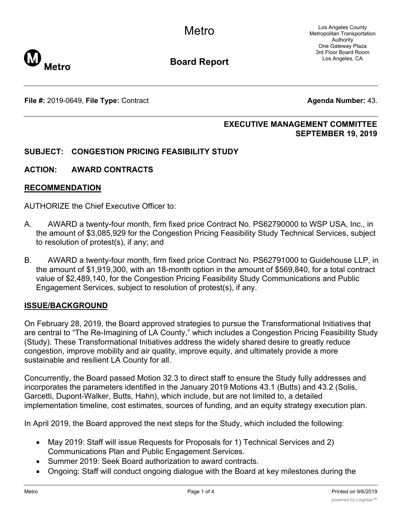Los Angeles County Metropolitan Transportation Authority One Gateway Plaza 3rd Floor Board Room Los Angeles, CA



**Board Report**

**File #:** 2019-0649, File Type: Contract **Agents Agents Agenda Number:** 43.

## **EXECUTIVE MANAGEMENT COMMITTEE SEPTEMBER 19, 2019**

## **SUBJECT: CONGESTION PRICING FEASIBILITY STUDY**

## **ACTION: AWARD CONTRACTS**

### **RECOMMENDATION**

AUTHORIZE the Chief Executive Officer to:

- A. AWARD a twenty-four month, firm fixed price Contract No. PS62790000 to WSP USA, Inc., in the amount of \$3,085,929 for the Congestion Pricing Feasibility Study Technical Services, subject to resolution of protest(s), if any; and
- B. AWARD a twenty-four month, firm fixed price Contract No. PS62791000 to Guidehouse LLP, in the amount of \$1,919,300, with an 18-month option in the amount of \$569,840, for a total contract value of \$2,489,140, for the Congestion Pricing Feasibility Study Communications and Public Engagement Services, subject to resolution of protest(s), if any.

## **ISSUE/BACKGROUND**

On February 28, 2019, the Board approved strategies to pursue the Transformational Initiatives that are central to "The Re-Imagining of LA County," which includes a Congestion Pricing Feasibility Study (Study). These Transformational Initiatives address the widely shared desire to greatly reduce congestion, improve mobility and air quality, improve equity, and ultimately provide a more sustainable and resilient LA County for all.

Concurrently, the Board passed Motion 32.3 to direct staff to ensure the Study fully addresses and incorporates the parameters identified in the January 2019 Motions 43.1 (Butts) and 43.2 (Solis, Garcetti, Dupont-Walker, Butts, Hahn), which include, but are not limited to, a detailed implementation timeline, cost estimates, sources of funding, and an equity strategy execution plan.

In April 2019, the Board approved the next steps for the Study, which included the following:

- · May 2019: Staff will issue Requests for Proposals for 1) Technical Services and 2) Communications Plan and Public Engagement Services.
- · Summer 2019: Seek Board authorization to award contracts.
- · Ongoing: Staff will conduct ongoing dialogue with the Board at key milestones during the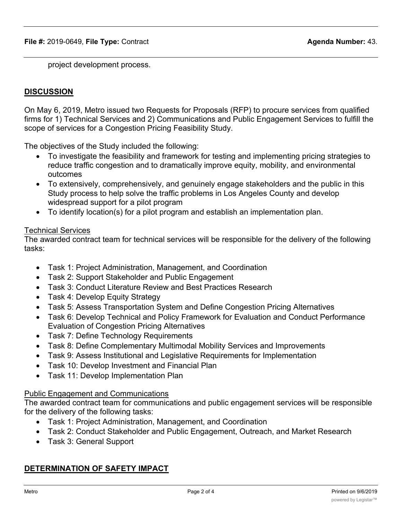project development process.

## **DISCUSSION**

On May 6, 2019, Metro issued two Requests for Proposals (RFP) to procure services from qualified firms for 1) Technical Services and 2) Communications and Public Engagement Services to fulfill the scope of services for a Congestion Pricing Feasibility Study.

The objectives of the Study included the following:

- · To investigate the feasibility and framework for testing and implementing pricing strategies to reduce traffic congestion and to dramatically improve equity, mobility, and environmental outcomes
- · To extensively, comprehensively, and genuinely engage stakeholders and the public in this Study process to help solve the traffic problems in Los Angeles County and develop widespread support for a pilot program
- · To identify location(s) for a pilot program and establish an implementation plan.

### Technical Services

The awarded contract team for technical services will be responsible for the delivery of the following tasks:

- · Task 1: Project Administration, Management, and Coordination
- · Task 2: Support Stakeholder and Public Engagement
- · Task 3: Conduct Literature Review and Best Practices Research
- Task 4: Develop Equity Strategy
- · Task 5: Assess Transportation System and Define Congestion Pricing Alternatives
- · Task 6: Develop Technical and Policy Framework for Evaluation and Conduct Performance Evaluation of Congestion Pricing Alternatives
- · Task 7: Define Technology Requirements
- · Task 8: Define Complementary Multimodal Mobility Services and Improvements
- · Task 9: Assess Institutional and Legislative Requirements for Implementation
- · Task 10: Develop Investment and Financial Plan
- · Task 11: Develop Implementation Plan

## Public Engagement and Communications

The awarded contract team for communications and public engagement services will be responsible for the delivery of the following tasks:

- · Task 1: Project Administration, Management, and Coordination
- · Task 2: Conduct Stakeholder and Public Engagement, Outreach, and Market Research
- · Task 3: General Support

# **DETERMINATION OF SAFETY IMPACT**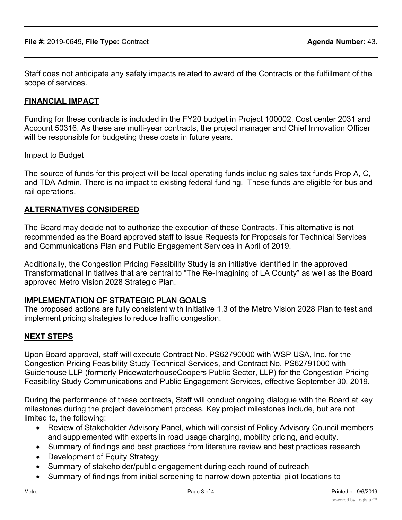Staff does not anticipate any safety impacts related to award of the Contracts or the fulfillment of the scope of services.

## **FINANCIAL IMPACT**

Funding for these contracts is included in the FY20 budget in Project 100002, Cost center 2031 and Account 50316. As these are multi-year contracts, the project manager and Chief Innovation Officer will be responsible for budgeting these costs in future years.

### Impact to Budget

The source of funds for this project will be local operating funds including sales tax funds Prop A, C, and TDA Admin. There is no impact to existing federal funding. These funds are eligible for bus and rail operations.

## **ALTERNATIVES CONSIDERED**

The Board may decide not to authorize the execution of these Contracts. This alternative is not recommended as the Board approved staff to issue Requests for Proposals for Technical Services and Communications Plan and Public Engagement Services in April of 2019.

Additionally, the Congestion Pricing Feasibility Study is an initiative identified in the approved Transformational Initiatives that are central to "The Re-Imagining of LA County" as well as the Board approved Metro Vision 2028 Strategic Plan.

## **IMPLEMENTATION OF STRATEGIC PLAN GOALS**

The proposed actions are fully consistent with Initiative 1.3 of the Metro Vision 2028 Plan to test and implement pricing strategies to reduce traffic congestion.

## **NEXT STEPS**

Upon Board approval, staff will execute Contract No. PS62790000 with WSP USA, Inc. for the Congestion Pricing Feasibility Study Technical Services, and Contract No. PS62791000 with Guidehouse LLP (formerly PricewaterhouseCoopers Public Sector, LLP) for the Congestion Pricing Feasibility Study Communications and Public Engagement Services, effective September 30, 2019.

During the performance of these contracts, Staff will conduct ongoing dialogue with the Board at key milestones during the project development process. Key project milestones include, but are not limited to, the following:

- · Review of Stakeholder Advisory Panel, which will consist of Policy Advisory Council members and supplemented with experts in road usage charging, mobility pricing, and equity.
- · Summary of findings and best practices from literature review and best practices research
- · Development of Equity Strategy
- Summary of stakeholder/public engagement during each round of outreach
- Summary of findings from initial screening to narrow down potential pilot locations to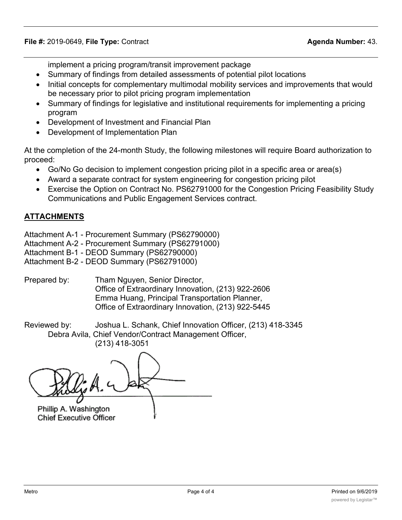implement a pricing program/transit improvement package

- · Summary of findings from detailed assessments of potential pilot locations
- Initial concepts for complementary multimodal mobility services and improvements that would be necessary prior to pilot pricing program implementation
- · Summary of findings for legislative and institutional requirements for implementing a pricing program
- · Development of Investment and Financial Plan
- · Development of Implementation Plan

At the completion of the 24-month Study, the following milestones will require Board authorization to proceed:

- Go/No Go decision to implement congestion pricing pilot in a specific area or area(s)
- · Award a separate contract for system engineering for congestion pricing pilot
- Exercise the Option on Contract No. PS62791000 for the Congestion Pricing Feasibility Study Communications and Public Engagement Services contract.

# **ATTACHMENTS**

Attachment A-1 - Procurement Summary (PS62790000)

- Attachment A-2 Procurement Summary (PS62791000)
- Attachment B-1 DEOD Summary (PS62790000)

Attachment B-2 - DEOD Summary (PS62791000)

Prepared by: Tham Nguyen, Senior Director, Office of Extraordinary Innovation, (213) 922-2606 Emma Huang, Principal Transportation Planner, Office of Extraordinary Innovation, (213) 922-5445

Reviewed by: Joshua L. Schank, Chief Innovation Officer, (213) 418-3345 Debra Avila, Chief Vendor/Contract Management Officer, (213) 418-3051

Phillip A. Washington

**Chief Executive Officer**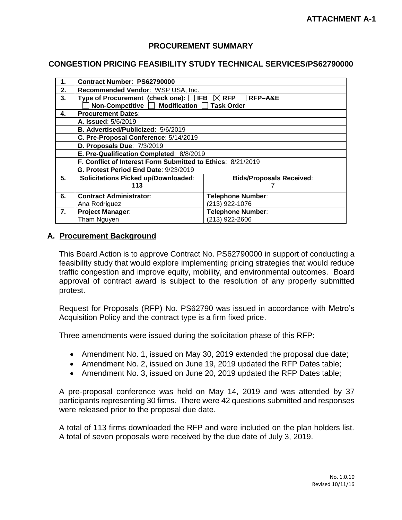## **PROCUREMENT SUMMARY**

#### **CONGESTION PRICING FEASIBILITY STUDY TECHNICAL SERVICES/PS62790000**

| $\mathbf{1}$ . | Contract Number: PS62790000                                        |                                 |  |  |
|----------------|--------------------------------------------------------------------|---------------------------------|--|--|
| 2.             | Recommended Vendor: WSP USA, Inc.                                  |                                 |  |  |
| 3.             | Type of Procurement (check one): $\Box$ IFB $\boxtimes$ RFP $\Box$ | RFP-A&E                         |  |  |
|                | Non-Competitive □ Modification □ Task Order                        |                                 |  |  |
| 4.             | <b>Procurement Dates:</b>                                          |                                 |  |  |
|                | A. Issued: 5/6/2019                                                |                                 |  |  |
|                | B. Advertised/Publicized: 5/6/2019                                 |                                 |  |  |
|                | C. Pre-Proposal Conference: 5/14/2019                              |                                 |  |  |
|                | D. Proposals Due: 7/3/2019                                         |                                 |  |  |
|                | E. Pre-Qualification Completed: 8/8/2019                           |                                 |  |  |
|                | F. Conflict of Interest Form Submitted to Ethics: 8/21/2019        |                                 |  |  |
|                | G. Protest Period End Date: 9/23/2019                              |                                 |  |  |
| 5.             | <b>Solicitations Picked up/Downloaded:</b>                         | <b>Bids/Proposals Received:</b> |  |  |
|                | 113                                                                |                                 |  |  |
| 6.             | <b>Contract Administrator:</b>                                     | <b>Telephone Number:</b>        |  |  |
|                | Ana Rodriguez                                                      | (213) 922-1076                  |  |  |
| 7.             | <b>Project Manager:</b>                                            | <b>Telephone Number:</b>        |  |  |
|                | Tham Nguyen                                                        | (213) 922-2606                  |  |  |

#### **A. Procurement Background**

This Board Action is to approve Contract No. PS62790000 in support of conducting a feasibility study that would explore implementing pricing strategies that would reduce traffic congestion and improve equity, mobility, and environmental outcomes. Board approval of contract award is subject to the resolution of any properly submitted protest.

Request for Proposals (RFP) No. PS62790 was issued in accordance with Metro's Acquisition Policy and the contract type is a firm fixed price.

Three amendments were issued during the solicitation phase of this RFP:

- Amendment No. 1, issued on May 30, 2019 extended the proposal due date;
- Amendment No. 2, issued on June 19, 2019 updated the RFP Dates table;
- Amendment No. 3, issued on June 20, 2019 updated the RFP Dates table;

A pre-proposal conference was held on May 14, 2019 and was attended by 37 participants representing 30 firms. There were 42 questions submitted and responses were released prior to the proposal due date.

A total of 113 firms downloaded the RFP and were included on the plan holders list. A total of seven proposals were received by the due date of July 3, 2019.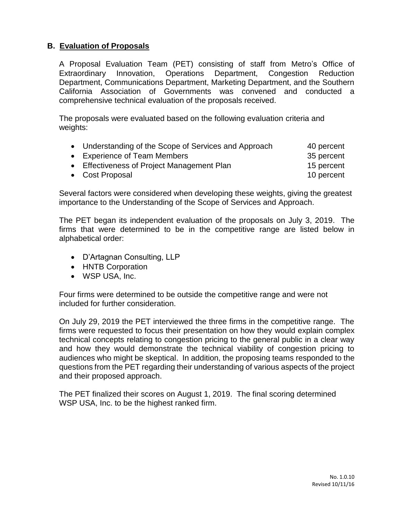# **B. Evaluation of Proposals**

A Proposal Evaluation Team (PET) consisting of staff from Metro's Office of Extraordinary Innovation, Operations Department, Congestion Reduction Department, Communications Department, Marketing Department, and the Southern California Association of Governments was convened and conducted a comprehensive technical evaluation of the proposals received.

The proposals were evaluated based on the following evaluation criteria and weights:

| • Understanding of the Scope of Services and Approach | 40 percent |
|-------------------------------------------------------|------------|
| • Experience of Team Members                          | 35 percent |
| • Effectiveness of Project Management Plan            | 15 percent |
| • Cost Proposal                                       | 10 percent |

Several factors were considered when developing these weights, giving the greatest importance to the Understanding of the Scope of Services and Approach.

The PET began its independent evaluation of the proposals on July 3, 2019. The firms that were determined to be in the competitive range are listed below in alphabetical order:

- D'Artagnan Consulting, LLP
- HNTB Corporation
- WSP USA, Inc.

Four firms were determined to be outside the competitive range and were not included for further consideration.

On July 29, 2019 the PET interviewed the three firms in the competitive range. The firms were requested to focus their presentation on how they would explain complex technical concepts relating to congestion pricing to the general public in a clear way and how they would demonstrate the technical viability of congestion pricing to audiences who might be skeptical. In addition, the proposing teams responded to the questions from the PET regarding their understanding of various aspects of the project and their proposed approach.

The PET finalized their scores on August 1, 2019. The final scoring determined WSP USA, Inc. to be the highest ranked firm.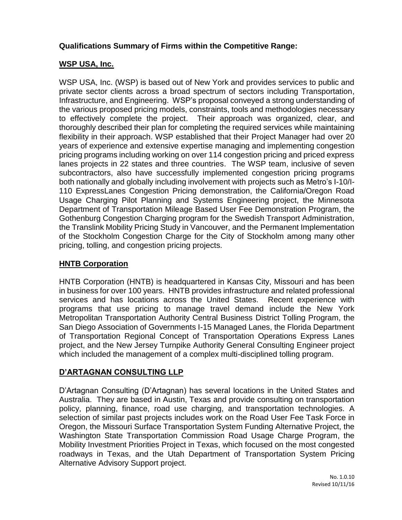# **Qualifications Summary of Firms within the Competitive Range:**

# **WSP USA, Inc.**

WSP USA, Inc. (WSP) is based out of New York and provides services to public and private sector clients across a broad spectrum of sectors including Transportation, Infrastructure, and Engineering. WSP's proposal conveyed a strong understanding of the various proposed pricing models, constraints, tools and methodologies necessary to effectively complete the project. Their approach was organized, clear, and thoroughly described their plan for completing the required services while maintaining flexibility in their approach. WSP established that their Project Manager had over 20 years of experience and extensive expertise managing and implementing congestion pricing programs including working on over 114 congestion pricing and priced express lanes projects in 22 states and three countries. The WSP team, inclusive of seven subcontractors, also have successfully implemented congestion pricing programs both nationally and globally including involvement with projects such as Metro's I-10/I-110 ExpressLanes Congestion Pricing demonstration, the California/Oregon Road Usage Charging Pilot Planning and Systems Engineering project, the Minnesota Department of Transportation Mileage Based User Fee Demonstration Program, the Gothenburg Congestion Charging program for the Swedish Transport Administration, the Translink Mobility Pricing Study in Vancouver, and the Permanent Implementation of the Stockholm Congestion Charge for the City of Stockholm among many other pricing, tolling, and congestion pricing projects.

# **HNTB Corporation**

HNTB Corporation (HNTB) is headquartered in Kansas City, Missouri and has been in business for over 100 years. HNTB provides infrastructure and related professional services and has locations across the United States. Recent experience with programs that use pricing to manage travel demand include the New York Metropolitan Transportation Authority Central Business District Tolling Program, the San Diego Association of Governments I-15 Managed Lanes, the Florida Department of Transportation Regional Concept of Transportation Operations Express Lanes project, and the New Jersey Turnpike Authority General Consulting Engineer project which included the management of a complex multi-disciplined tolling program.

# **D'ARTAGNAN CONSULTING LLP**

D'Artagnan Consulting (D'Artagnan) has several locations in the United States and Australia. They are based in Austin, Texas and provide consulting on transportation policy, planning, finance, road use charging, and transportation technologies. A selection of similar past projects includes work on the Road User Fee Task Force in Oregon, the Missouri Surface Transportation System Funding Alternative Project, the Washington State Transportation Commission Road Usage Charge Program, the Mobility Investment Priorities Project in Texas, which focused on the most congested roadways in Texas, and the Utah Department of Transportation System Pricing Alternative Advisory Support project.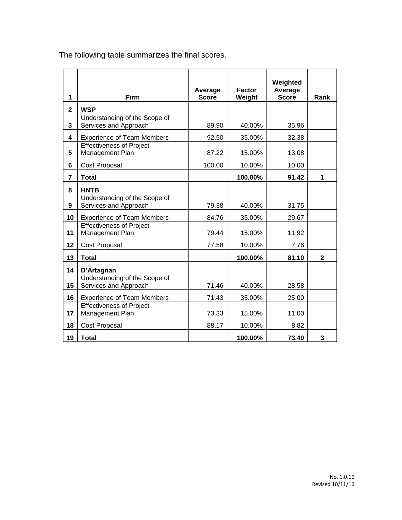| 1                       | Firm                                                   | Average<br><b>Score</b> | <b>Factor</b><br>Weight | Weighted<br>Average<br><b>Score</b> | Rank         |
|-------------------------|--------------------------------------------------------|-------------------------|-------------------------|-------------------------------------|--------------|
| $\overline{\mathbf{2}}$ | <b>WSP</b>                                             |                         |                         |                                     |              |
| 3                       | Understanding of the Scope of<br>Services and Approach | 89.90                   | 40.00%                  | 35.96                               |              |
| 4                       | <b>Experience of Team Members</b>                      | 92.50                   | 35.00%                  | 32.38                               |              |
| 5                       | <b>Effectiveness of Project</b><br>Management Plan     | 87.22                   | 15.00%                  | 13.08                               |              |
| 6                       | Cost Proposal                                          | 100.00                  | 10.00%                  | 10.00                               |              |
| $\overline{7}$          | <b>Total</b>                                           |                         | 100.00%                 | 91.42                               | 1            |
| 8                       | <b>HNTB</b>                                            |                         |                         |                                     |              |
| 9                       | Understanding of the Scope of<br>Services and Approach | 79.38                   | 40.00%                  | 31.75                               |              |
| 10                      | <b>Experience of Team Members</b>                      | 84.76                   | 35.00%                  | 29.67                               |              |
| 11                      | <b>Effectiveness of Project</b><br>Management Plan     | 79.44                   | 15.00%                  | 11.92                               |              |
| 12                      | Cost Proposal                                          | 77.58                   | 10.00%                  | 7.76                                |              |
| 13                      | <b>Total</b>                                           |                         | 100.00%                 | 81.10                               | $\mathbf{2}$ |
| 14                      | D'Artagnan                                             |                         |                         |                                     |              |
| 15                      | Understanding of the Scope of<br>Services and Approach | 71.46                   | 40.00%                  | 28.58                               |              |
| 16                      | <b>Experience of Team Members</b>                      | 71.43                   | 35.00%                  | 25.00                               |              |
| 17                      | <b>Effectiveness of Project</b><br>Management Plan     | 73.33                   | 15.00%                  | 11.00                               |              |
| 18                      | Cost Proposal                                          | 88.17                   | 10.00%                  | 8.82                                |              |
| 19                      | <b>Total</b>                                           |                         | 100.00%                 | 73.40                               | 3            |

The following table summarizes the final scores.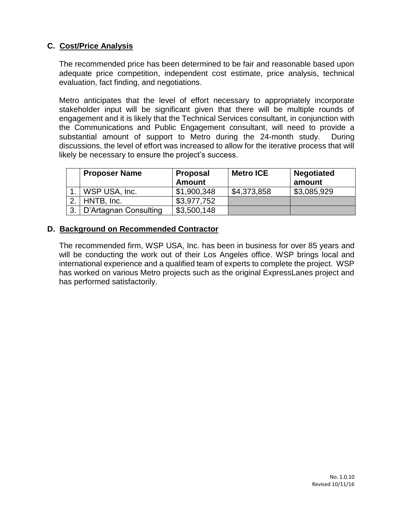# **C. Cost/Price Analysis**

The recommended price has been determined to be fair and reasonable based upon adequate price competition, independent cost estimate, price analysis, technical evaluation, fact finding, and negotiations.

Metro anticipates that the level of effort necessary to appropriately incorporate stakeholder input will be significant given that there will be multiple rounds of engagement and it is likely that the Technical Services consultant, in conjunction with the Communications and Public Engagement consultant, will need to provide a substantial amount of support to Metro during the 24-month study. During discussions, the level of effort was increased to allow for the iterative process that will likely be necessary to ensure the project's success.

|    | <b>Proposer Name</b>  | <b>Proposal</b><br><b>Amount</b> | <b>Metro ICE</b> | <b>Negotiated</b><br>amount |
|----|-----------------------|----------------------------------|------------------|-----------------------------|
|    | WSP USA, Inc.         | \$1,900,348                      | \$4,373,858      | \$3,085,929                 |
|    | HNTB, Inc.            | \$3,977,752                      |                  |                             |
| 3. | D'Artagnan Consulting | \$3,500,148                      |                  |                             |

## **D. Background on Recommended Contractor**

The recommended firm, WSP USA, Inc. has been in business for over 85 years and will be conducting the work out of their Los Angeles office. WSP brings local and international experience and a qualified team of experts to complete the project. WSP has worked on various Metro projects such as the original ExpressLanes project and has performed satisfactorily.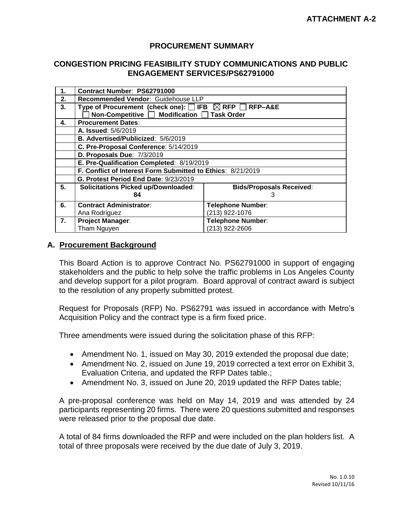## **PROCUREMENT SUMMARY**

#### **CONGESTION PRICING FEASIBILITY STUDY COMMUNICATIONS AND PUBLIC ENGAGEMENT SERVICES/PS62791000**

| 1. | Contract Number: PS62791000                                        |                                 |  |  |
|----|--------------------------------------------------------------------|---------------------------------|--|--|
| 2. | Recommended Vendor: Guidehouse LLP                                 |                                 |  |  |
| 3. | Type of Procurement (check one): $\Box$ IFB $\boxtimes$ RFP $\Box$ | RFP-A&E                         |  |  |
|    | Non-Competitive □ Modification □ Task Order                        |                                 |  |  |
| 4. | <b>Procurement Dates:</b>                                          |                                 |  |  |
|    | A. Issued: 5/6/2019                                                |                                 |  |  |
|    | B. Advertised/Publicized: 5/6/2019                                 |                                 |  |  |
|    | C. Pre-Proposal Conference: 5/14/2019                              |                                 |  |  |
|    | D. Proposals Due: 7/3/2019                                         |                                 |  |  |
|    | E. Pre-Qualification Completed: 8/19/2019                          |                                 |  |  |
|    | F. Conflict of Interest Form Submitted to Ethics: 8/21/2019        |                                 |  |  |
|    | G. Protest Period End Date: 9/23/2019                              |                                 |  |  |
| 5. | <b>Solicitations Picked up/Downloaded:</b>                         | <b>Bids/Proposals Received:</b> |  |  |
|    | 84                                                                 | 3                               |  |  |
| 6. | <b>Contract Administrator:</b>                                     | <b>Telephone Number:</b>        |  |  |
|    | Ana Rodriguez                                                      | (213) 922-1076                  |  |  |
| 7. | <b>Project Manager:</b>                                            | <b>Telephone Number:</b>        |  |  |
|    | Tham Nguyen                                                        | (213) 922-2606                  |  |  |

### **A. Procurement Background**

This Board Action is to approve Contract No. PS62791000 in support of engaging stakeholders and the public to help solve the traffic problems in Los Angeles County and develop support for a pilot program. Board approval of contract award is subject to the resolution of any properly submitted protest.

Request for Proposals (RFP) No. PS62791 was issued in accordance with Metro's Acquisition Policy and the contract type is a firm fixed price.

Three amendments were issued during the solicitation phase of this RFP:

- Amendment No. 1, issued on May 30, 2019 extended the proposal due date;
- Amendment No. 2, issued on June 19, 2019 corrected a text error on Exhibit 3, Evaluation Criteria, and updated the RFP Dates table.;
- Amendment No. 3, issued on June 20, 2019 updated the RFP Dates table;

A pre-proposal conference was held on May 14, 2019 and was attended by 24 participants representing 20 firms. There were 20 questions submitted and responses were released prior to the proposal due date.

A total of 84 firms downloaded the RFP and were included on the plan holders list. A total of three proposals were received by the due date of July 3, 2019.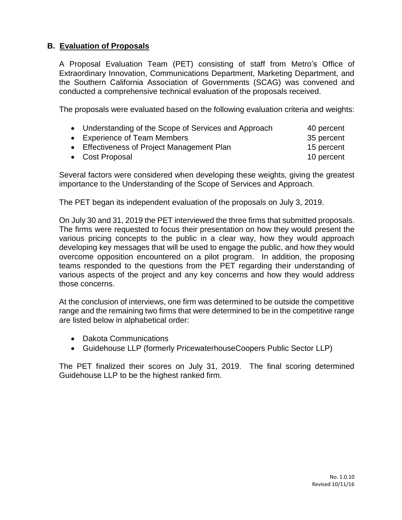# **B. Evaluation of Proposals**

A Proposal Evaluation Team (PET) consisting of staff from Metro's Office of Extraordinary Innovation, Communications Department, Marketing Department, and the Southern California Association of Governments (SCAG) was convened and conducted a comprehensive technical evaluation of the proposals received.

The proposals were evaluated based on the following evaluation criteria and weights:

| • Understanding of the Scope of Services and Approach | 40 percent           |
|-------------------------------------------------------|----------------------|
| • Experience of Team Members                          | 35 percent           |
| Effectiveness of Dispect Mensenment Dlan              | $A \nabla$ possessed |

- Effectiveness of Project Management Plan 15 percent
- Cost Proposal and the cost of the cost Proposal and the cost of the cost of the cost of the cost of the cost of the cost of the cost of the cost of the cost of the cost of the cost of the cost of the cost of the cost of

Several factors were considered when developing these weights, giving the greatest importance to the Understanding of the Scope of Services and Approach.

The PET began its independent evaluation of the proposals on July 3, 2019.

On July 30 and 31, 2019 the PET interviewed the three firms that submitted proposals. The firms were requested to focus their presentation on how they would present the various pricing concepts to the public in a clear way, how they would approach developing key messages that will be used to engage the public, and how they would overcome opposition encountered on a pilot program. In addition, the proposing teams responded to the questions from the PET regarding their understanding of various aspects of the project and any key concerns and how they would address those concerns.

At the conclusion of interviews, one firm was determined to be outside the competitive range and the remaining two firms that were determined to be in the competitive range are listed below in alphabetical order:

- Dakota Communications
- Guidehouse LLP (formerly PricewaterhouseCoopers Public Sector LLP)

The PET finalized their scores on July 31, 2019. The final scoring determined Guidehouse LLP to be the highest ranked firm.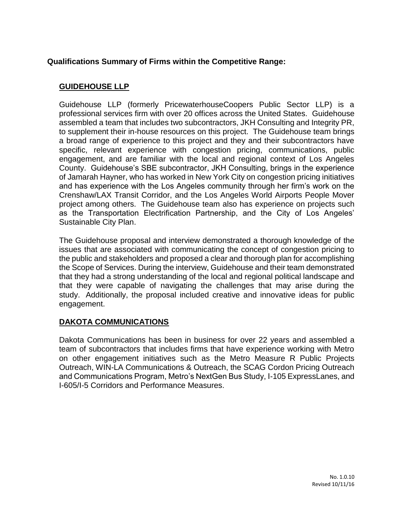# **Qualifications Summary of Firms within the Competitive Range:**

# **GUIDEHOUSE LLP**

Guidehouse LLP (formerly PricewaterhouseCoopers Public Sector LLP) is a professional services firm with over 20 offices across the United States. Guidehouse assembled a team that includes two subcontractors, JKH Consulting and Integrity PR, to supplement their in-house resources on this project. The Guidehouse team brings a broad range of experience to this project and they and their subcontractors have specific, relevant experience with congestion pricing, communications, public engagement, and are familiar with the local and regional context of Los Angeles County. Guidehouse's SBE subcontractor, JKH Consulting, brings in the experience of Jamarah Hayner, who has worked in New York City on congestion pricing initiatives and has experience with the Los Angeles community through her firm's work on the Crenshaw/LAX Transit Corridor, and the Los Angeles World Airports People Mover project among others. The Guidehouse team also has experience on projects such as the Transportation Electrification Partnership, and the City of Los Angeles' Sustainable City Plan.

The Guidehouse proposal and interview demonstrated a thorough knowledge of the issues that are associated with communicating the concept of congestion pricing to the public and stakeholders and proposed a clear and thorough plan for accomplishing the Scope of Services. During the interview, Guidehouse and their team demonstrated that they had a strong understanding of the local and regional political landscape and that they were capable of navigating the challenges that may arise during the study. Additionally, the proposal included creative and innovative ideas for public engagement.

# **DAKOTA COMMUNICATIONS**

Dakota Communications has been in business for over 22 years and assembled a team of subcontractors that includes firms that have experience working with Metro on other engagement initiatives such as the Metro Measure R Public Projects Outreach, WIN-LA Communications & Outreach, the SCAG Cordon Pricing Outreach and Communications Program, Metro's NextGen Bus Study, I-105 ExpressLanes, and I-605/I-5 Corridors and Performance Measures.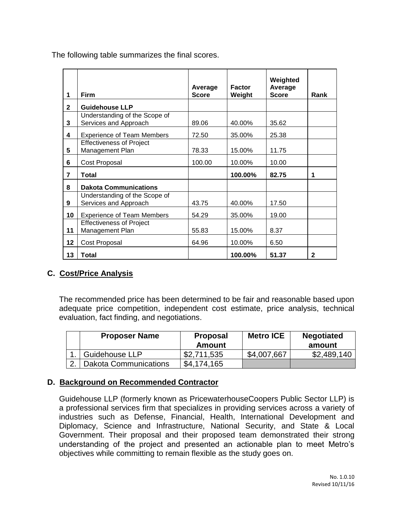|  | The following table summanzes the final scores. |  |  |
|--|-------------------------------------------------|--|--|
|  |                                                 |  |  |

The following table summarizes the final scores.

|                         |                                                        | Average      | <b>Factor</b> | Weighted<br>Average |              |
|-------------------------|--------------------------------------------------------|--------------|---------------|---------------------|--------------|
| 1                       | <b>Firm</b>                                            | <b>Score</b> | Weight        | <b>Score</b>        | Rank         |
| $\mathbf{2}$            | <b>Guidehouse LLP</b>                                  |              |               |                     |              |
| 3                       | Understanding of the Scope of<br>Services and Approach | 89.06        | 40.00%        | 35.62               |              |
| 4                       | <b>Experience of Team Members</b>                      | 72.50        | 35.00%        | 25.38               |              |
| 5                       | <b>Effectiveness of Project</b><br>Management Plan     | 78.33        | 15.00%        | 11.75               |              |
| 6                       | Cost Proposal                                          | 100.00       | 10.00%        | 10.00               |              |
| $\overline{\mathbf{r}}$ | Total                                                  |              | 100.00%       | 82.75               | 1            |
| 8                       | <b>Dakota Communications</b>                           |              |               |                     |              |
| 9                       | Understanding of the Scope of<br>Services and Approach | 43.75        | 40.00%        | 17.50               |              |
| 10                      | <b>Experience of Team Members</b>                      | 54.29        | 35.00%        | 19.00               |              |
| 11                      | <b>Effectiveness of Project</b><br>Management Plan     | 55.83        | 15.00%        | 8.37                |              |
| 12                      | Cost Proposal                                          | 64.96        | 10.00%        | 6.50                |              |
| 13                      | Total                                                  |              | 100.00%       | 51.37               | $\mathbf{2}$ |

# **C. Cost/Price Analysis**

The recommended price has been determined to be fair and reasonable based upon adequate price competition, independent cost estimate, price analysis, technical evaluation, fact finding, and negotiations.

| <b>Proposer Name</b>       | <b>Proposal</b><br>Amount | <b>Metro ICE</b> | <b>Negotiated</b><br>amount |
|----------------------------|---------------------------|------------------|-----------------------------|
| <b>Guidehouse LLP</b>      | \$2,711,535               | \$4,007,667      | \$2,489,140                 |
| 2.   Dakota Communications | \$4,174,165               |                  |                             |

# **D. Background on Recommended Contractor**

Guidehouse LLP (formerly known as PricewaterhouseCoopers Public Sector LLP) is a professional services firm that specializes in providing services across a variety of industries such as Defense, Financial, Health, International Development and Diplomacy, Science and Infrastructure, National Security, and State & Local Government. Their proposal and their proposed team demonstrated their strong understanding of the project and presented an actionable plan to meet Metro's objectives while committing to remain flexible as the study goes on.

Т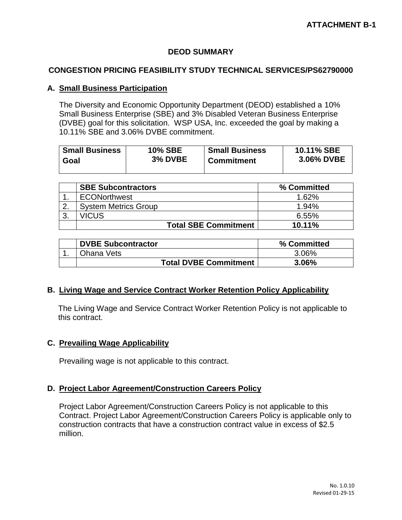## **DEOD SUMMARY**

### **CONGESTION PRICING FEASIBILITY STUDY TECHNICAL SERVICES/PS62790000**

### **A. Small Business Participation**

The Diversity and Economic Opportunity Department (DEOD) established a 10% Small Business Enterprise (SBE) and 3% Disabled Veteran Business Enterprise (DVBE) goal for this solicitation. WSP USA, Inc. exceeded the goal by making a 10.11% SBE and 3.06% DVBE commitment.

| <b>Small Business</b> | <b>10% SBE</b> | <b>Small Business</b> | 10.11% SBE |
|-----------------------|----------------|-----------------------|------------|
| Goal                  | 3% DVBE        | <b>Commitment</b>     | 3.06% DVBE |
|                       |                |                       |            |

|              | <b>SBE Subcontractors</b>   | % Committed |
|--------------|-----------------------------|-------------|
|              | <b>ECONorthwest</b>         | 1.62%       |
| ົ            | <b>System Metrics Group</b> | 1.94%       |
| $\mathbf{3}$ | VICUS                       | $6.55\%$    |
|              | <b>Total SBE Commitment</b> | $10.11\%$   |

| <b>DVBE Subcontractor</b>    | % Committed |
|------------------------------|-------------|
| Ohana Vets                   | 3.06%       |
| <b>Total DVBE Commitment</b> | $3.06\%$    |

#### **B. Living Wage and Service Contract Worker Retention Policy Applicability**

 The Living Wage and Service Contract Worker Retention Policy is not applicable to this contract.

## **C. Prevailing Wage Applicability**

Prevailing wage is not applicable to this contract.

#### **D. Project Labor Agreement/Construction Careers Policy**

Project Labor Agreement/Construction Careers Policy is not applicable to this Contract. Project Labor Agreement/Construction Careers Policy is applicable only to construction contracts that have a construction contract value in excess of \$2.5 million.